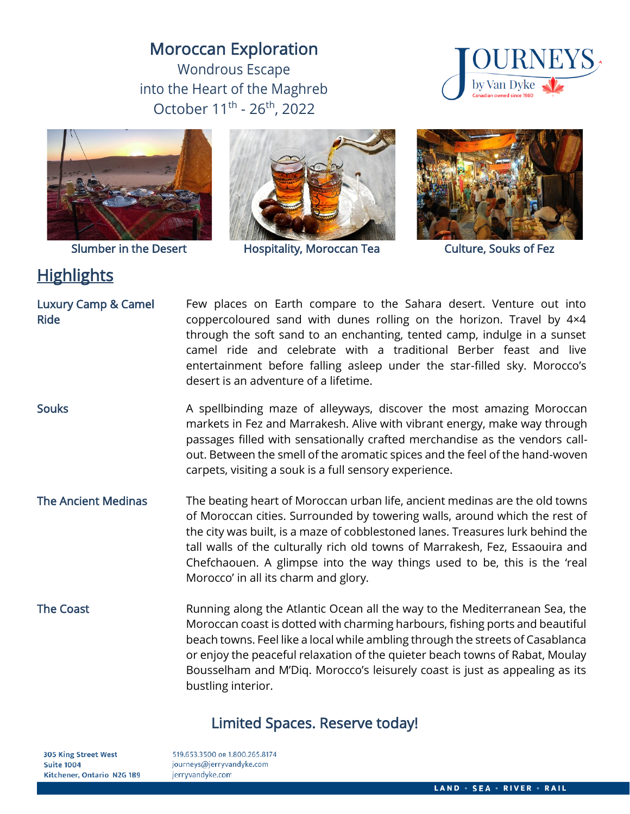# Moroccan Exploration

Wondrous Escape into the Heart of the Maghreb October 11<sup>th</sup> - 26<sup>th</sup>, 2022





Slumber in the Desert

# **Highlights**



Hospitality, Moroccan Tea



Culture, Souks of Fez

Luxury Camp & Camel Ride Few places on Earth compare to the Sahara desert. Venture out into coppercoloured sand with dunes rolling on the horizon. Travel by 4×4 through the soft sand to an enchanting, tented camp, indulge in a sunset camel ride and celebrate with a traditional Berber feast and live entertainment before falling asleep under the star-filled sky. Morocco's desert is an adventure of a lifetime.

Souks **A** spellbinding maze of alleyways, discover the most amazing Moroccan markets in Fez and Marrakesh. Alive with vibrant energy, make way through passages filled with sensationally crafted merchandise as the vendors callout. Between the smell of the aromatic spices and the feel of the hand-woven carpets, visiting a souk is a full sensory experience.

The Ancient Medinas The beating heart of Moroccan urban life, ancient medinas are the old towns of Moroccan cities. Surrounded by towering walls, around which the rest of the city was built, is a maze of cobblestoned lanes. Treasures lurk behind the tall walls of the culturally rich old towns of Marrakesh, Fez, Essaouira and Chefchaouen. A glimpse into the way things used to be, this is the 'real Morocco' in all its charm and glory.

The Coast **Running along the Atlantic Ocean all the way to the Mediterranean Sea, the** Mediterranean Sea, the Moroccan coast is dotted with charming harbours, fishing ports and beautiful beach towns. Feel like a local while ambling through the streets of Casablanca or enjoy the peaceful relaxation of the quieter beach towns of Rabat, Moulay Bousselham and M'Diq. Morocco's leisurely coast is just as appealing as its bustling interior.

## Limited Spaces. Reserve today!

**305 King Street West Suite 1004** Kitchener, Ontario N2G 1B9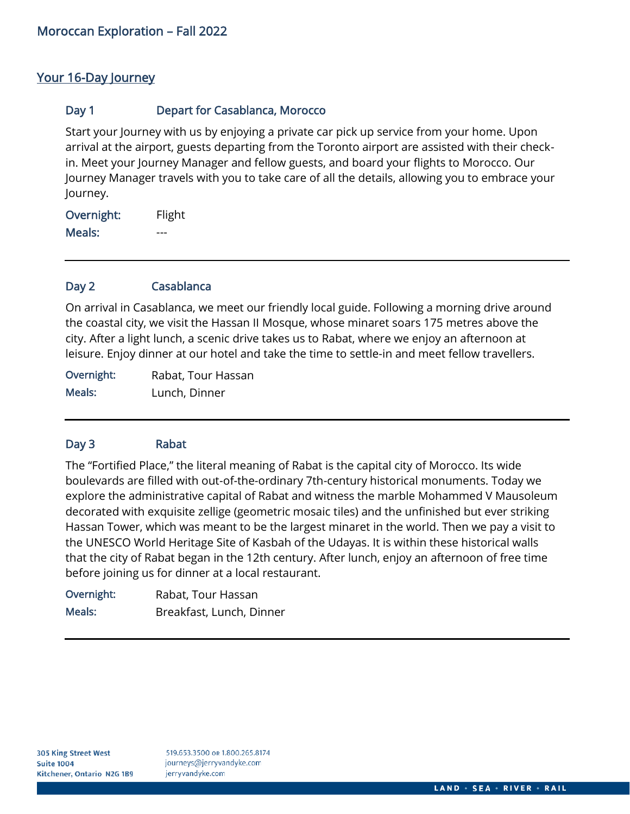## Your 16-Day Journey

## Day 1 **Depart for Casablanca, Morocco**

Start your Journey with us by enjoying a private car pick up service from your home. Upon arrival at the airport, guests departing from the Toronto airport are assisted with their checkin. Meet your Journey Manager and fellow guests, and board your flights to Morocco. Our Journey Manager travels with you to take care of all the details, allowing you to embrace your Journey.

Overnight: Flight Meals: ---

## Day 2 Casablanca

On arrival in Casablanca, we meet our friendly local guide. Following a morning drive around the coastal city, we visit the Hassan II Mosque, whose minaret soars 175 metres above the city. After a light lunch, a scenic drive takes us to Rabat, where we enjoy an afternoon at leisure. Enjoy dinner at our hotel and take the time to settle-in and meet fellow travellers.

Overnight: Rabat, Tour Hassan Meals: Lunch, Dinner

## Day 3 Rabat

The "Fortified Place," the literal meaning of Rabat is the capital city of Morocco. Its wide boulevards are filled with out-of-the-ordinary 7th-century historical monuments. Today we explore the administrative capital of Rabat and witness the marble Mohammed V Mausoleum decorated with exquisite zellige (geometric mosaic tiles) and the unfinished but ever striking Hassan Tower, which was meant to be the largest minaret in the world. Then we pay a visit to the UNESCO World Heritage Site of Kasbah of the Udayas. It is within these historical walls that the city of Rabat began in the 12th century. After lunch, enjoy an afternoon of free time before joining us for dinner at a local restaurant.

Overnight: Rabat, Tour Hassan Meals: Breakfast, Lunch, Dinner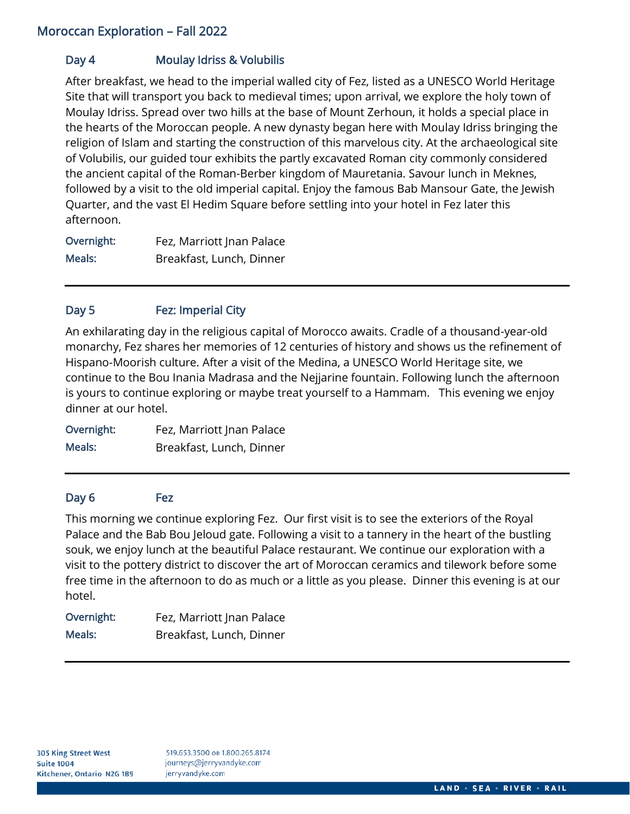## Day 4 Moulay Idriss & Volubilis

After breakfast, we head to the imperial walled city of Fez, listed as a UNESCO World Heritage Site that will transport you back to medieval times; upon arrival, we explore the holy town of Moulay Idriss. Spread over two hills at the base of Mount Zerhoun, it holds a special place in the hearts of the Moroccan people. A new dynasty began here with Moulay Idriss bringing the religion of Islam and starting the construction of this marvelous city. At the archaeological site of Volubilis, our guided tour exhibits the partly excavated Roman city commonly considered the ancient capital of the Roman-Berber kingdom of Mauretania. Savour lunch in Meknes, followed by a visit to the old imperial capital. Enjoy the famous Bab Mansour Gate, the Jewish Quarter, and the vast El Hedim Square before settling into your hotel in Fez later this afternoon.

Overnight: Fez, Marriott Jnan Palace Meals: Breakfast, Lunch, Dinner

### Day 5 Fez: Imperial City

An exhilarating day in the religious capital of Morocco awaits. Cradle of a thousand-year-old monarchy, Fez shares her memories of 12 centuries of history and shows us the refinement of Hispano-Moorish culture. After a visit of the Medina, a UNESCO World Heritage site, we continue to the Bou Inania Madrasa and the Nejjarine fountain. Following lunch the afternoon is yours to continue exploring or maybe treat yourself to a Hammam. This evening we enjoy dinner at our hotel.

Overnight: Fez, Marriott Jnan Palace Meals: Breakfast, Lunch, Dinner

## Day 6 Fez

This morning we continue exploring Fez. Our first visit is to see the exteriors of the Royal Palace and the Bab Bou Jeloud gate. Following a visit to a tannery in the heart of the bustling souk, we enjoy lunch at the beautiful Palace restaurant. We continue our exploration with a visit to the pottery district to discover the art of Moroccan ceramics and tilework before some free time in the afternoon to do as much or a little as you please. Dinner this evening is at our hotel.

| Overnight: | Fez, Marriott Jnan Palace |
|------------|---------------------------|
| Meals:     | Breakfast, Lunch, Dinner  |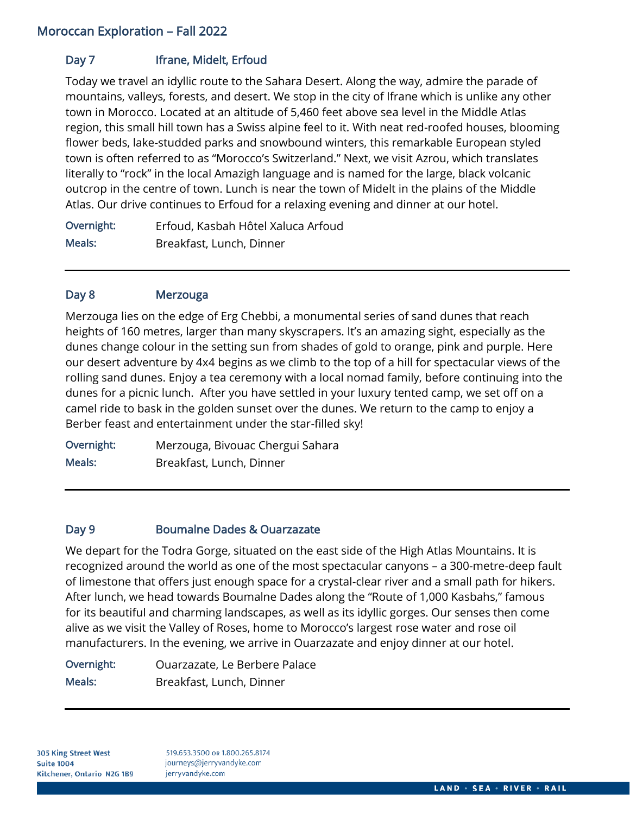## Day 7 **Ifrane, Midelt, Erfoud**

Today we travel an idyllic route to the Sahara Desert. Along the way, admire the parade of mountains, valleys, forests, and desert. We stop in the city of Ifrane which is unlike any other town in Morocco. Located at an altitude of 5,460 feet above sea level in the Middle Atlas region, this small hill town has a Swiss alpine feel to it. With neat red-roofed houses, blooming flower beds, lake-studded parks and snowbound winters, this remarkable European styled town is often referred to as "Morocco's Switzerland." Next, we visit Azrou, which translates literally to "rock" in the local Amazigh language and is named for the large, black volcanic outcrop in the centre of town. Lunch is near the town of Midelt in the plains of the Middle Atlas. Our drive continues to Erfoud for a relaxing evening and dinner at our hotel.

Overnight: Erfoud, Kasbah Hôtel Xaluca Arfoud Meals: Breakfast, Lunch, Dinner

## Day 8 Merzouga

Merzouga lies on the edge of Erg Chebbi, a monumental series of sand dunes that reach heights of 160 metres, larger than many skyscrapers. It's an amazing sight, especially as the dunes change colour in the setting sun from shades of gold to orange, pink and purple. Here our desert adventure by 4x4 begins as we climb to the top of a hill for spectacular views of the rolling sand dunes. Enjoy a tea ceremony with a local nomad family, before continuing into the dunes for a picnic lunch. After you have settled in your luxury tented camp, we set off on a camel ride to bask in the golden sunset over the dunes. We return to the camp to enjoy a Berber feast and entertainment under the star-filled sky!

Overnight: Merzouga, Bivouac Chergui Sahara Meals: Breakfast, Lunch, Dinner

## Day 9 Boumalne Dades & Ouarzazate

We depart for the Todra Gorge, situated on the east side of the High Atlas Mountains. It is recognized around the world as one of the most spectacular canyons – a 300-metre-deep fault of limestone that offers just enough space for a crystal-clear river and a small path for hikers. After lunch, we head towards Boumalne Dades along the "Route of 1,000 Kasbahs," famous for its beautiful and charming landscapes, as well as its idyllic gorges. Our senses then come alive as we visit the Valley of Roses, home to Morocco's largest rose water and rose oil manufacturers. In the evening, we arrive in Ouarzazate and enjoy dinner at our hotel.

| Overnight: | Ouarzazate, Le Berbere Palace |
|------------|-------------------------------|
| Meals:     | Breakfast, Lunch, Dinner      |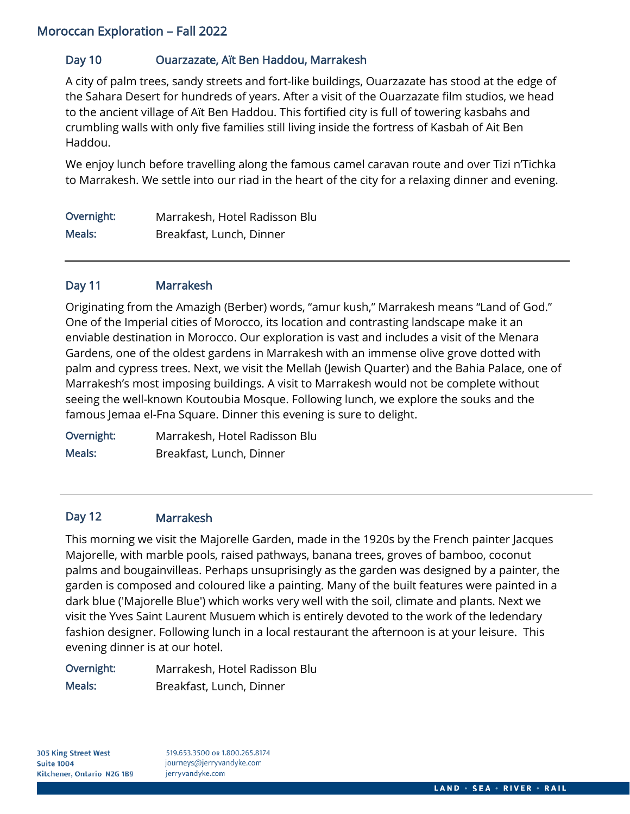## Day 10 Ouarzazate, Aït Ben Haddou, Marrakesh

A city of palm trees, sandy streets and fort-like buildings, Ouarzazate has stood at the edge of the Sahara Desert for hundreds of years. After a visit of the Ouarzazate film studios, we head to the ancient village of Aït Ben Haddou. This fortified city is full of towering kasbahs and crumbling walls with only five families still living inside the fortress of Kasbah of Ait Ben Haddou.

We enjoy lunch before travelling along the famous camel caravan route and over Tizi n'Tichka to Marrakesh. We settle into our riad in the heart of the city for a relaxing dinner and evening.

| Overnight: | Marrakesh, Hotel Radisson Blu |
|------------|-------------------------------|
| Meals:     | Breakfast, Lunch, Dinner      |

## Day 11 Marrakesh

Originating from the Amazigh (Berber) words, "amur kush," Marrakesh means "Land of God." One of the Imperial cities of Morocco, its location and contrasting landscape make it an enviable destination in Morocco. Our exploration is vast and includes a visit of the Menara Gardens, one of the oldest gardens in Marrakesh with an immense olive grove dotted with palm and cypress trees. Next, we visit the Mellah (Jewish Quarter) and the Bahia Palace, one of Marrakesh's most imposing buildings. A visit to Marrakesh would not be complete without seeing the well-known Koutoubia Mosque. Following lunch, we explore the souks and the famous Jemaa el-Fna Square. Dinner this evening is sure to delight.

Overnight: Marrakesh, Hotel Radisson Blu Meals: Breakfast, Lunch, Dinner

### Day 12 Marrakesh

This morning we visit the Majorelle Garden, made in the 1920s by the French painter Jacques Majorelle, with marble pools, raised pathways, banana trees, groves of bamboo, coconut palms and bougainvilleas. Perhaps unsuprisingly as the garden was designed by a painter, the garden is composed and coloured like a painting. Many of the built features were painted in a dark blue ('Majorelle Blue') which works very well with the soil, climate and plants. Next we visit the Yves Saint Laurent Musuem which is entirely devoted to the work of the ledendary fashion designer. Following lunch in a local restaurant the afternoon is at your leisure. This evening dinner is at our hotel.

| Overnight: | Marrakesh, Hotel Radisson Blu |
|------------|-------------------------------|
| Meals:     | Breakfast, Lunch, Dinner      |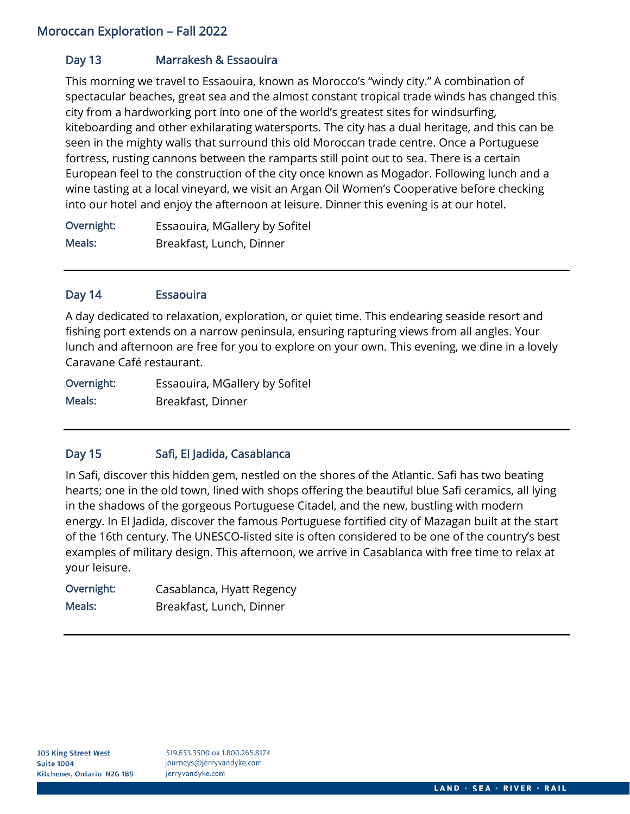## Day 13 Marrakesh & Essaouira

This morning we travel to Essaouira, known as Morocco's "windy city." A combination of spectacular beaches, great sea and the almost constant tropical trade winds has changed this city from a hardworking port into one of the world's greatest sites for windsurfing, kiteboarding and other exhilarating watersports. The city has a dual heritage, and this can be seen in the mighty walls that surround this old Moroccan trade centre. Once a Portuguese fortress, rusting cannons between the ramparts still point out to sea. There is a certain European feel to the construction of the city once known as Mogador. Following lunch and a wine tasting at a local vineyard, we visit an Argan Oil Women's Cooperative before checking into our hotel and enjoy the afternoon at leisure. Dinner this evening is at our hotel.

Overnight: Essaouira, MGallery by Sofitel Meals: Breakfast, Lunch, Dinner

## Day 14 Essaouira

A day dedicated to relaxation, exploration, or quiet time. This endearing seaside resort and fishing port extends on a narrow peninsula, ensuring rapturing views from all angles. Your lunch and afternoon are free for you to explore on your own. This evening, we dine in a lovely Caravane Café restaurant.

Overnight: Essaouira, MGallery by Sofitel Meals: Breakfast, Dinner

## Day 15 Safi, El Jadida, Casablanca

In Safi, discover this hidden gem, nestled on the shores of the Atlantic. Safi has two beating hearts; one in the old town, lined with shops offering the beautiful blue Safi ceramics, all lying in the shadows of the gorgeous Portuguese Citadel, and the new, bustling with modern energy. In El Jadida, discover the famous Portuguese fortified city of Mazagan built at the start of the 16th century. The UNESCO-listed site is often considered to be one of the country's best examples of military design. This afternoon, we arrive in Casablanca with free time to relax at your leisure.

| Overnight: | Casablanca, Hyatt Regency |
|------------|---------------------------|
| Meals:     | Breakfast, Lunch, Dinner  |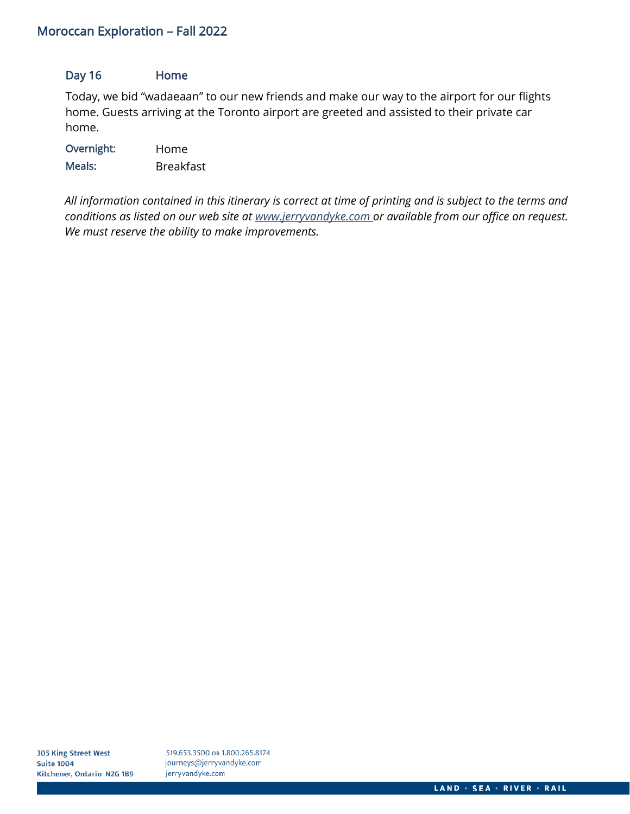## Day 16 Home

Today, we bid "wadaeaan" to our new friends and make our way to the airport for our flights home. Guests arriving at the Toronto airport are greeted and assisted to their private car home.

| Overnight: | Home             |
|------------|------------------|
| Meals:     | <b>Breakfast</b> |

*All information contained in this itinerary is correct at time of printing and is subject to the terms and conditions as listed on our web site at [www.jerryvandyke.com o](http://www.jerryvandyke.com/)r available from our office on request. We must reserve the ability to make improvements.*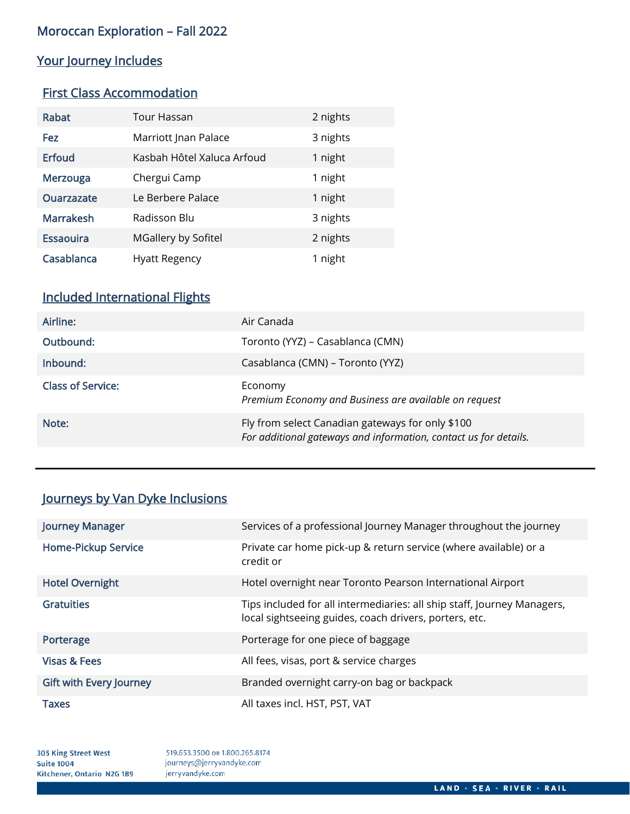## Your Journey Includes

## First Class Accommodation

| Rabat             | Tour Hassan                | 2 nights |
|-------------------|----------------------------|----------|
| Fez               | Marriott Jnan Palace       | 3 nights |
| <b>Erfoud</b>     | Kasbah Hôtel Xaluca Arfoud | 1 night  |
| Merzouga          | Chergui Camp               | 1 night  |
| <b>Ouarzazate</b> | Le Berbere Palace          | 1 night  |
| <b>Marrakesh</b>  | Radisson Blu               | 3 nights |
| <b>Essaouira</b>  | MGallery by Sofitel        | 2 nights |
| Casablanca        | Hyatt Regency              | 1 night  |

## Included International Flights

| Airline:                 | Air Canada                                                                                                           |
|--------------------------|----------------------------------------------------------------------------------------------------------------------|
| Outbound:                | Toronto (YYZ) – Casablanca (CMN)                                                                                     |
| Inbound:                 | Casablanca (CMN) – Toronto (YYZ)                                                                                     |
| <b>Class of Service:</b> | Economy<br>Premium Economy and Business are available on request                                                     |
| Note:                    | Fly from select Canadian gateways for only \$100<br>For additional gateways and information, contact us for details. |

## Journeys by Van Dyke Inclusions

| <b>Journey Manager</b>         | Services of a professional Journey Manager throughout the journey                                                                 |
|--------------------------------|-----------------------------------------------------------------------------------------------------------------------------------|
| <b>Home-Pickup Service</b>     | Private car home pick-up & return service (where available) or a<br>credit or                                                     |
| <b>Hotel Overnight</b>         | Hotel overnight near Toronto Pearson International Airport                                                                        |
| <b>Gratuities</b>              | Tips included for all intermediaries: all ship staff, Journey Managers,<br>local sightseeing guides, coach drivers, porters, etc. |
| Porterage                      | Porterage for one piece of baggage                                                                                                |
| <b>Visas &amp; Fees</b>        | All fees, visas, port & service charges                                                                                           |
| <b>Gift with Every Journey</b> | Branded overnight carry-on bag or backpack                                                                                        |
| <b>Taxes</b>                   | All taxes incl. HST, PST, VAT                                                                                                     |

305 King Street West **Suite 1004** Kitchener, Ontario N2G 1B9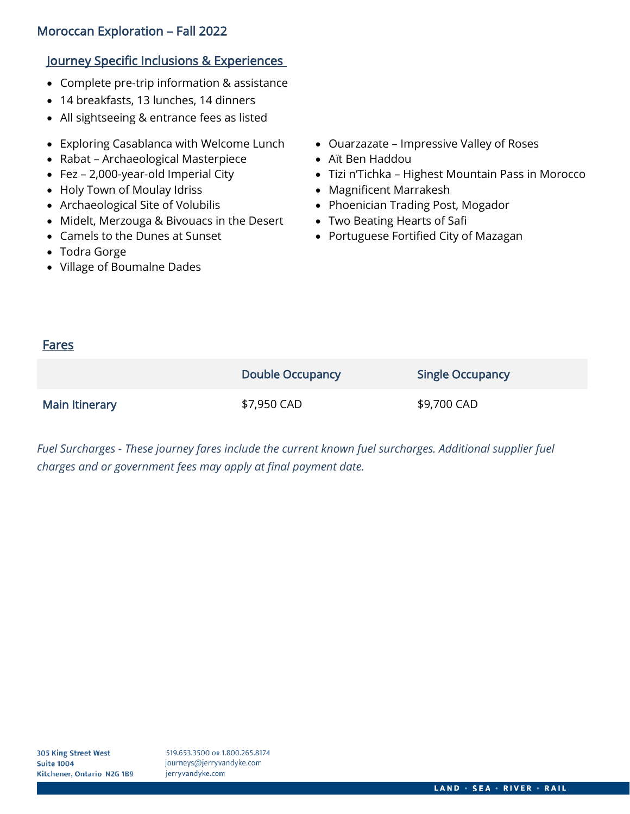## Journey Specific Inclusions & Experiences

- Complete pre-trip information & assistance
- 14 breakfasts, 13 lunches, 14 dinners
- All sightseeing & entrance fees as listed
- Exploring Casablanca with Welcome Lunch
- Rabat Archaeological Masterpiece
- Fez 2,000-year-old Imperial City
- Holy Town of Moulay Idriss
- Archaeological Site of Volubilis
- Midelt, Merzouga & Bivouacs in the Desert
- Camels to the Dunes at Sunset
- Todra Gorge
- Village of Boumalne Dades
- Ouarzazate Impressive Valley of Roses
- Aït Ben Haddou
- Tizi n'Tichka Highest Mountain Pass in Morocco
- Magnificent Marrakesh
- Phoenician Trading Post, Mogador
- Two Beating Hearts of Safi
- Portuguese Fortified City of Mazagan

## Fares

|                | <b>Double Occupancy</b> | <b>Single Occupancy</b> |
|----------------|-------------------------|-------------------------|
| Main Itinerary | \$7,950 CAD             | \$9,700 CAD             |

*Fuel Surcharges - These journey fares include the current known fuel surcharges. Additional supplier fuel charges and or government fees may apply at final payment date.*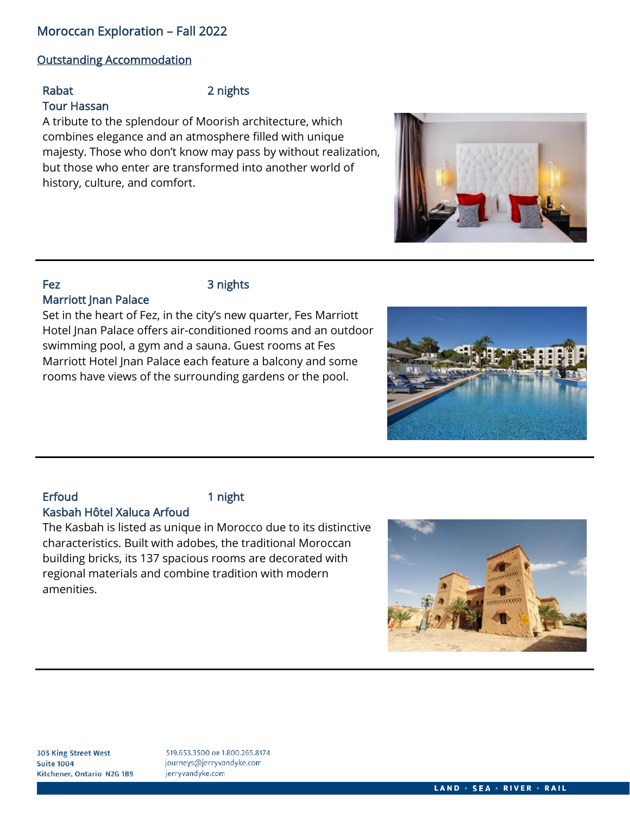## Outstanding Accommodation

Tour Hassan

### Rabat 2 nights

A tribute to the splendour of Moorish architecture, which combines elegance and an atmosphere filled with unique majesty. Those who don't know may pass by without realization, but those who enter are transformed into another world of history, culture, and comfort.

## Fez 3 nights

## Marriott Jnan Palace

Set in the heart of Fez, in the city's new quarter, Fes Marriott Hotel Jnan Palace offers air-conditioned rooms and an outdoor swimming pool, a gym and a sauna. Guest rooms at Fes Marriott Hotel Jnan Palace each feature a balcony and some rooms have views of the surrounding gardens or the pool.

### Erfoud 1 night Kasbah Hôtel Xaluca Arfoud

The Kasbah is listed as unique in Morocco due to its distinctive characteristics. Built with adobes, the traditional Moroccan building bricks, its 137 spacious rooms are decorated with regional materials and combine tradition with modern amenities.





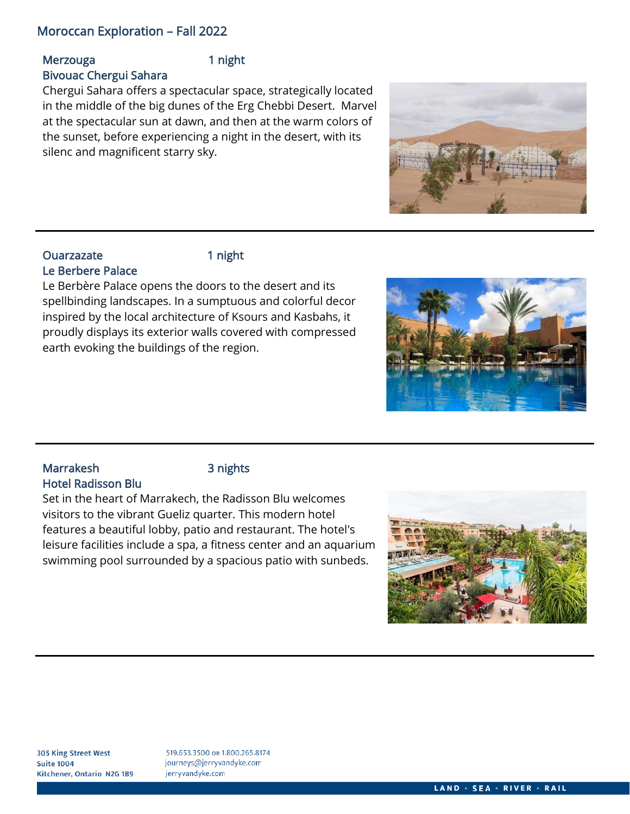## Merzouga 1 night Bivouac Chergui Sahara

Chergui Sahara offers a spectacular space, strategically located in the middle of the big dunes of the Erg Chebbi Desert. Marvel at the spectacular sun at dawn, and then at the warm colors of the sunset, before experiencing a night in the desert, with its silenc and magnificent starry sky.

## Ouarzazate 1 night Le Berbere Palace

Le Berbère Palace opens the doors to the desert and its spellbinding landscapes. In a sumptuous and colorful decor inspired by the local architecture of Ksours and Kasbahs, it proudly displays its exterior walls covered with compressed earth evoking the buildings of the region.





## Marrakesh 3 nights Hotel Radisson Blu

Set in the heart of Marrakech, the Radisson Blu welcomes visitors to the vibrant Gueliz quarter. This modern hotel features a beautiful lobby, patio and restaurant. The hotel's leisure facilities include a spa, a fitness center and an aquarium swimming pool surrounded by a spacious patio with sunbeds.

![](_page_10_Picture_12.jpeg)

**305 King Street West Suite 1004** Kitchener, Ontario N2G 1B9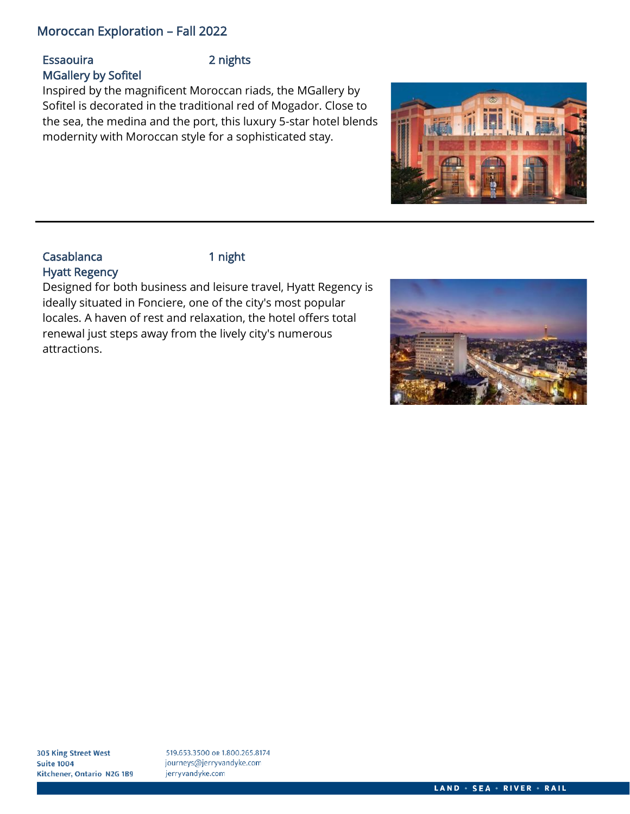## Essaouira 2 nights MGallery by Sofitel

Inspired by the magnificent Moroccan riads, the MGallery by Sofitel is decorated in the traditional red of Mogador. Close to the sea, the medina and the port, this luxury 5-star hotel blends modernity with Moroccan style for a sophisticated stay.

![](_page_11_Picture_4.jpeg)

## Casablanca 1 night Hyatt Regency

Designed for both business and leisure travel, Hyatt Regency is ideally situated in Fonciere, one of the city's most popular locales. A haven of rest and relaxation, the hotel offers total renewal just steps away from the lively city's numerous attractions.

![](_page_11_Picture_8.jpeg)